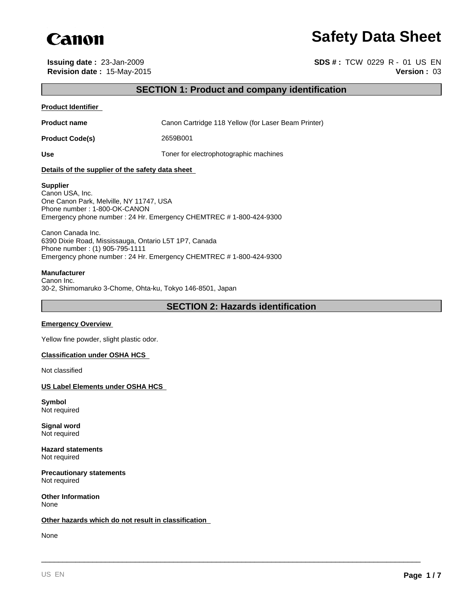

## **Safety Data Sheet**

#### **Issuing date :** 23-Jan-2009 **SDS # :** TCW 0229 R - 01 US EN **Revision date :** 15-May-2015 **Version :** 03

## **SECTION 1: Product and company identification**

#### **Product Identifier**

**Product name** Canon Cartridge 118 Yellow (for Laser Beam Printer)

**Product Code(s)** 2659B001

Use Use **Use** Toner for electrophotographic machines

#### **Details of the supplier of the safety data sheet**

#### **Supplier**

Canon USA, Inc. One Canon Park, Melville, NY 11747, USA Phone number : 1-800-OK-CANON Emergency phone number : 24 Hr. Emergency CHEMTREC # 1-800-424-9300

Canon Canada Inc. 6390 Dixie Road, Mississauga, Ontario L5T 1P7, Canada Phone number : (1) 905-795-1111 Emergency phone number : 24 Hr. Emergency CHEMTREC # 1-800-424-9300

#### **Manufacturer**

Canon Inc. 30-2, Shimomaruko 3-Chome, Ohta-ku, Tokyo 146-8501, Japan

## **SECTION 2: Hazards identification**

\_\_\_\_\_\_\_\_\_\_\_\_\_\_\_\_\_\_\_\_\_\_\_\_\_\_\_\_\_\_\_\_\_\_\_\_\_\_\_\_\_\_\_\_\_\_\_\_\_\_\_\_\_\_\_\_\_\_\_\_\_\_\_\_\_\_\_\_\_\_\_\_\_\_\_\_\_\_\_\_\_\_\_\_\_\_\_\_\_

#### **Emergency Overview**

Yellow fine powder, slight plastic odor.

#### **Classification under OSHA HCS**

Not classified

#### **US Label Elements under OSHA HCS**

**Symbol** Not required

**Signal word** Not required

**Hazard statements** Not required

**Precautionary statements** Not required

**Other Information** None

#### **Other hazards which do not result in classification**

None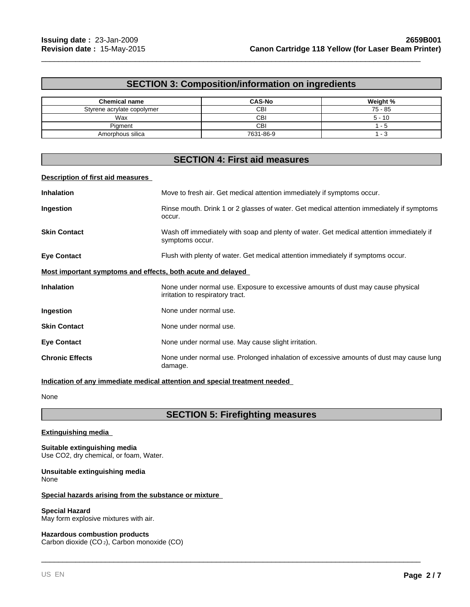## **SECTION 3: Composition/information on ingredients**

\_\_\_\_\_\_\_\_\_\_\_\_\_\_\_\_\_\_\_\_\_\_\_\_\_\_\_\_\_\_\_\_\_\_\_\_\_\_\_\_\_\_\_\_\_\_\_\_\_\_\_\_\_\_\_\_\_\_\_\_\_\_\_\_\_\_\_\_\_\_\_\_\_\_\_\_\_\_\_\_\_\_\_\_\_\_\_\_\_

| <b>Chemical name</b>       | <b>CAS-No</b> | Weight %  |
|----------------------------|---------------|-----------|
| Styrene acrylate copolymer | CBI           | $75 - 85$ |
| Wax                        | CBI           | $5 - 10$  |
| Piament                    | CBI           | - ה       |
| Amorphous silica           | 7631-86-9     |           |

## **SECTION 4: First aid measures**

#### **Description of first aid measures**

| <b>Inhalation</b>                                           | Move to fresh air. Get medical attention immediately if symptoms occur.                                             |  |
|-------------------------------------------------------------|---------------------------------------------------------------------------------------------------------------------|--|
| Ingestion                                                   | Rinse mouth. Drink 1 or 2 glasses of water. Get medical attention immediately if symptoms<br>occur.                 |  |
| <b>Skin Contact</b>                                         | Wash off immediately with soap and plenty of water. Get medical attention immediately if<br>symptoms occur.         |  |
| <b>Eye Contact</b>                                          | Flush with plenty of water. Get medical attention immediately if symptoms occur.                                    |  |
| Most important symptoms and effects, both acute and delayed |                                                                                                                     |  |
| <b>Inhalation</b>                                           | None under normal use. Exposure to excessive amounts of dust may cause physical<br>irritation to respiratory tract. |  |
| Ingestion                                                   | None under normal use.                                                                                              |  |
| <b>Skin Contact</b>                                         | None under normal use.                                                                                              |  |
| <b>Eye Contact</b>                                          | None under normal use. May cause slight irritation.                                                                 |  |
| <b>Chronic Effects</b>                                      | None under normal use. Prolonged inhalation of excessive amounts of dust may cause lung<br>damage.                  |  |

#### **Indication of any immediate medical attention and special treatment needed**

None

## **SECTION 5: Firefighting measures**

\_\_\_\_\_\_\_\_\_\_\_\_\_\_\_\_\_\_\_\_\_\_\_\_\_\_\_\_\_\_\_\_\_\_\_\_\_\_\_\_\_\_\_\_\_\_\_\_\_\_\_\_\_\_\_\_\_\_\_\_\_\_\_\_\_\_\_\_\_\_\_\_\_\_\_\_\_\_\_\_\_\_\_\_\_\_\_\_\_

#### **Extinguishing media**

**Suitable extinguishing media** Use CO2, dry chemical, or foam, Water.

#### **Unsuitable extinguishing media** None

#### **Special hazards arising from the substance or mixture**

#### **Special Hazard**

May form explosive mixtures with air.

#### **Hazardous combustion products**

Carbon dioxide (CO 2), Carbon monoxide (CO)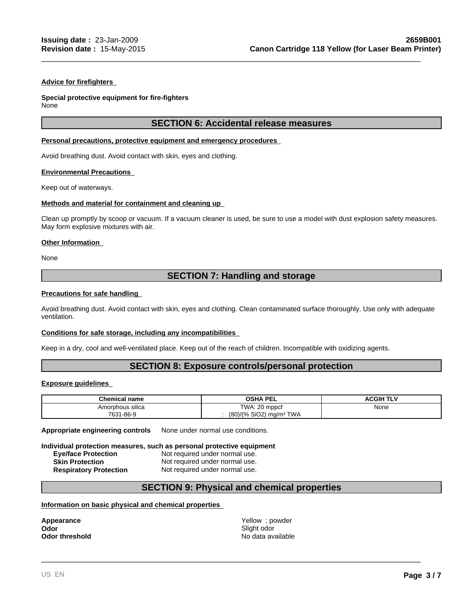#### **Advice for firefighters**

#### **Special protective equipment for fire-fighters**

**None** 

## **SECTION 6: Accidental release measures**

\_\_\_\_\_\_\_\_\_\_\_\_\_\_\_\_\_\_\_\_\_\_\_\_\_\_\_\_\_\_\_\_\_\_\_\_\_\_\_\_\_\_\_\_\_\_\_\_\_\_\_\_\_\_\_\_\_\_\_\_\_\_\_\_\_\_\_\_\_\_\_\_\_\_\_\_\_\_\_\_\_\_\_\_\_\_\_\_\_

#### **Personal precautions, protective equipment and emergency procedures**

Avoid breathing dust. Avoid contact with skin, eyes and clothing.

#### **Environmental Precautions**

Keep out of waterways.

#### **Methods and material for containment and cleaning up**

Clean up promptly by scoop or vacuum. If a vacuum cleaner is used, be sure to use a model with dust explosion safety measures. May form explosive mixtures with air.

#### **Other Information**

None

## **SECTION 7: Handling and storage**

#### **Precautions for safe handling**

Avoid breathing dust. Avoid contact with skin, eyes and clothing. Clean contaminated surface thoroughly. Use only with adequate ventilation.

#### **Conditions for safe storage, including any incompatibilities**

Keep in a dry, cool and well-ventilated place. Keep out of the reach of children. Incompatible with oxidizing agents.

### **SECTION 8: Exposure controls/personal protection**

#### **Exposure guidelines**

| <b>Chemical name</b> | PEL<br>OSHA                                                  | <b>ACGIH</b><br>. . |
|----------------------|--------------------------------------------------------------|---------------------|
| <br>Amorphous silica | <b>TWA: 20</b><br>∷20 mppcf                                  | None                |
| 7631-86-9            | $\sim$<br>TWA<br>(80)<br>10 <sub>0</sub><br>, ma/mª<br>SI021 |                     |

**Appropriate engineering controls** None under normal use conditions.

**Individual protection measures, such as personal protective equipment Eye/face Protection** Not required under normal use. **Skin Protection** Not required under normal use. **Respiratory Protection** Not required under normal use.

#### **SECTION 9: Physical and chemical properties**

**Information on basic physical and chemical properties** 

**Appearance Appearance Vellow** ; powder **Odor**<br>Odor threshold

Slight odor **No data available** 

\_\_\_\_\_\_\_\_\_\_\_\_\_\_\_\_\_\_\_\_\_\_\_\_\_\_\_\_\_\_\_\_\_\_\_\_\_\_\_\_\_\_\_\_\_\_\_\_\_\_\_\_\_\_\_\_\_\_\_\_\_\_\_\_\_\_\_\_\_\_\_\_\_\_\_\_\_\_\_\_\_\_\_\_\_\_\_\_\_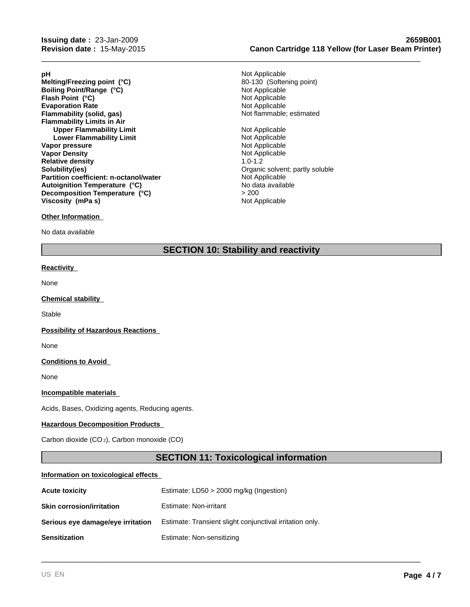**Evaporation Rate**<br> **Example:** Not Applicable<br> **Elammability (solid, gas)**<br> **Example:** Not flammable; estimated **Flammability (solid, gas) Flammability Limits in Air Upper Flammability Limit**<br> **Lower Flammability Limit**<br> **Lower Flammability Limit Lower Flammability Limit Vapor pressure** Not Applicable **Vapor Density** Not Applicable **Relative density** 1.0-1.2 **Solubility(ies)**<br> **Partition coefficient: n-octanol/water**<br> **Partition coefficient: n-octanol/water**<br> **Community** Communication Communication Communication Communication Communication Communication Communication Communica **Partition coefficient: n-octanol/water** Not Applicable Not Applicable Autoignition Temperature (°C) **Melting/Freezing point (°C)**<br> **Boiling Point/Range (°C)**<br> **Boiling Point/Range (°C)**<br> **Boiling Point/Range (°C) Boiling Point/Range (°C)** Not Applicable<br> **Flash Point (°C)** Not Applicable **Flash Point (°C) Autoignition Temperature (°C) Decomposition Temperature (°C) Viscosity (mPa s)** Not Applicable

#### **Other Information**

No data available

**pH** Not Applicable

\_\_\_\_\_\_\_\_\_\_\_\_\_\_\_\_\_\_\_\_\_\_\_\_\_\_\_\_\_\_\_\_\_\_\_\_\_\_\_\_\_\_\_\_\_\_\_\_\_\_\_\_\_\_\_\_\_\_\_\_\_\_\_\_\_\_\_\_\_\_\_\_\_\_\_\_\_\_\_\_\_\_\_\_\_\_\_\_\_

> 200

## **SECTION 10: Stability and reactivity**

#### **Reactivity**

None

#### **Chemical stability**

**Stable** 

#### **Possibility of Hazardous Reactions**

None

#### **Conditions to Avoid**

None

#### **Incompatible materials**

Acids, Bases, Oxidizing agents, Reducing agents.

#### **Hazardous Decomposition Products**

Carbon dioxide (CO 2), Carbon monoxide (CO)

## **SECTION 11: Toxicological information**

\_\_\_\_\_\_\_\_\_\_\_\_\_\_\_\_\_\_\_\_\_\_\_\_\_\_\_\_\_\_\_\_\_\_\_\_\_\_\_\_\_\_\_\_\_\_\_\_\_\_\_\_\_\_\_\_\_\_\_\_\_\_\_\_\_\_\_\_\_\_\_\_\_\_\_\_\_\_\_\_\_\_\_\_\_\_\_\_\_

#### **Information on toxicological effects**

| <b>Acute toxicity</b>             | Estimate: $LD50 > 2000$ mg/kg (Ingestion)                |
|-----------------------------------|----------------------------------------------------------|
| <b>Skin corrosion/irritation</b>  | Estimate: Non-irritant                                   |
| Serious eye damage/eye irritation | Estimate: Transient slight conjunctival irritation only. |
| <b>Sensitization</b>              | Estimate: Non-sensitizing                                |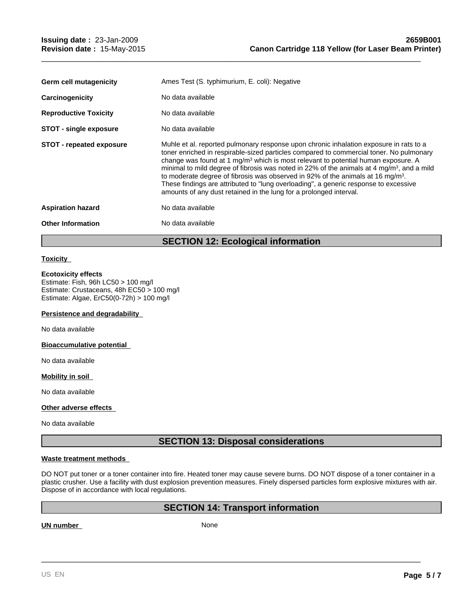|                                 | <b>SECTION 12: Ecological information</b>                                                                                                                                                                                                                                                                                                                                                                                                                                                                                                                                                                                                       |
|---------------------------------|-------------------------------------------------------------------------------------------------------------------------------------------------------------------------------------------------------------------------------------------------------------------------------------------------------------------------------------------------------------------------------------------------------------------------------------------------------------------------------------------------------------------------------------------------------------------------------------------------------------------------------------------------|
| <b>Other Information</b>        | No data available                                                                                                                                                                                                                                                                                                                                                                                                                                                                                                                                                                                                                               |
| <b>Aspiration hazard</b>        | No data available                                                                                                                                                                                                                                                                                                                                                                                                                                                                                                                                                                                                                               |
| <b>STOT - repeated exposure</b> | Muhle et al. reported pulmonary response upon chronic inhalation exposure in rats to a<br>toner enriched in respirable-sized particles compared to commercial toner. No pulmonary<br>change was found at 1 $mq/m3$ which is most relevant to potential human exposure. A<br>minimal to mild degree of fibrosis was noted in 22% of the animals at 4 mg/m <sup>3</sup> , and a mild<br>to moderate degree of fibrosis was observed in 92% of the animals at 16 mg/m <sup>3</sup> .<br>These findings are attributed to "lung overloading", a generic response to excessive<br>amounts of any dust retained in the lung for a prolonged interval. |
| <b>STOT - single exposure</b>   | No data available                                                                                                                                                                                                                                                                                                                                                                                                                                                                                                                                                                                                                               |
| <b>Reproductive Toxicity</b>    | No data available                                                                                                                                                                                                                                                                                                                                                                                                                                                                                                                                                                                                                               |
| Carcinogenicity                 | No data available                                                                                                                                                                                                                                                                                                                                                                                                                                                                                                                                                                                                                               |
| Germ cell mutagenicity          | Ames Test (S. typhimurium, E. coli): Negative                                                                                                                                                                                                                                                                                                                                                                                                                                                                                                                                                                                                   |

\_\_\_\_\_\_\_\_\_\_\_\_\_\_\_\_\_\_\_\_\_\_\_\_\_\_\_\_\_\_\_\_\_\_\_\_\_\_\_\_\_\_\_\_\_\_\_\_\_\_\_\_\_\_\_\_\_\_\_\_\_\_\_\_\_\_\_\_\_\_\_\_\_\_\_\_\_\_\_\_\_\_\_\_\_\_\_\_\_

#### **Toxicity**

#### **Ecotoxicity effects**

Estimate: Fish, 96h LC50 > 100 mg/l Estimate: Crustaceans, 48h EC50 > 100 mg/l Estimate: Algae, ErC50(0-72h) > 100 mg/l

#### **Persistence and degradability**

No data available

#### **Bioaccumulative potential**

No data available

#### **Mobility in soil**

No data available

#### **Other adverse effects**

No data available

## **SECTION 13: Disposal considerations**

#### **Waste treatment methods**

DO NOT put toner or a toner container into fire. Heated toner may cause severe burns. DO NOT dispose of a toner container in a plastic crusher. Use a facility with dust explosion prevention measures. Finely dispersed particles form explosive mixtures with air. Dispose of in accordance with local regulations.

## **SECTION 14: Transport information**

# \_\_\_\_\_\_\_\_\_\_\_\_\_\_\_\_\_\_\_\_\_\_\_\_\_\_\_\_\_\_\_\_\_\_\_\_\_\_\_\_\_\_\_\_\_\_\_\_\_\_\_\_\_\_\_\_\_\_\_\_\_\_\_\_\_\_\_\_\_\_\_\_\_\_\_\_\_\_\_\_\_\_\_\_\_\_\_\_\_ **UN number** None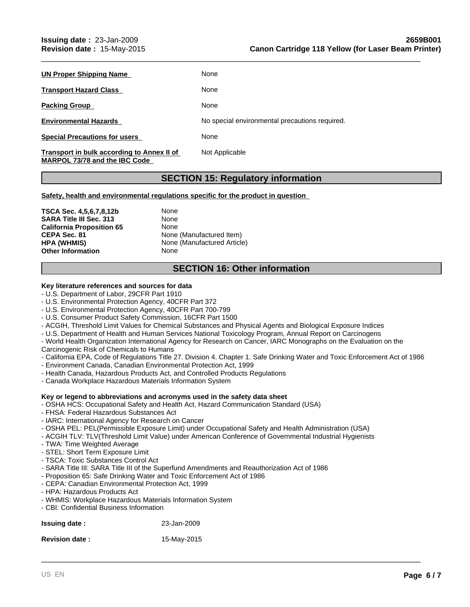| <b>UN Proper Shipping Name</b>             | None                                           |
|--------------------------------------------|------------------------------------------------|
| <b>Transport Hazard Class</b>              | None                                           |
| <b>Packing Group</b>                       | None                                           |
| <b>Environmental Hazards</b>               | No special environmental precautions required. |
| <b>Special Precautions for users</b>       | None                                           |
| Transport in bulk according to Annex II of | Not Applicable                                 |

## **SECTION 15: Regulatory information**

\_\_\_\_\_\_\_\_\_\_\_\_\_\_\_\_\_\_\_\_\_\_\_\_\_\_\_\_\_\_\_\_\_\_\_\_\_\_\_\_\_\_\_\_\_\_\_\_\_\_\_\_\_\_\_\_\_\_\_\_\_\_\_\_\_\_\_\_\_\_\_\_\_\_\_\_\_\_\_\_\_\_\_\_\_\_\_\_\_

**Safety, health and environmental regulations specific for the product in question** 

**TSCA Sec. 4,5,6,7,8,12b** None<br> **SARA Title III Sec. 313** None **SARA Title III Sec. 313 California Proposition 65** None **CEPA Sec. 81** None (Manufactured Item) **HPA (WHMIS)** None (Manufactured Article) **Other Information** None

**MARPOL 73/78 and the IBC Code** 

## **SECTION 16: Other information**

#### **Key literature references and sources for data**

- U.S. Department of Labor, 29CFR Part 1910
- U.S. Environmental Protection Agency, 40CFR Part 372
- U.S. Environmental Protection Agency, 40CFR Part 700-799
- U.S. Consumer Product Safety Commission, 16CFR Part 1500
- ACGIH, Threshold Limit Values for Chemical Substances and Physical Agents and Biological Exposure Indices
- U.S. Department of Health and Human Services National Toxicology Program, Annual Report on Carcinogens
- World Health Organization International Agency for Research on Cancer, IARC Monographs on the Evaluation on the Carcinogenic Risk of Chemicals to Humans
- California EPA, Code of Regulations Title 27. Division 4. Chapter 1. Safe Drinking Water and Toxic Enforcement Act of 1986

\_\_\_\_\_\_\_\_\_\_\_\_\_\_\_\_\_\_\_\_\_\_\_\_\_\_\_\_\_\_\_\_\_\_\_\_\_\_\_\_\_\_\_\_\_\_\_\_\_\_\_\_\_\_\_\_\_\_\_\_\_\_\_\_\_\_\_\_\_\_\_\_\_\_\_\_\_\_\_\_\_\_\_\_\_\_\_\_\_

- Environment Canada, Canadian Environmental Protection Act, 1999
- Health Canada, Hazardous Products Act, and Controlled Products Regulations
- Canada Workplace Hazardous Materials Information System

#### **Key or legend to abbreviations and acronyms used in the safety data sheet**

- OSHA HCS: Occupational Safety and Health Act, Hazard Communication Standard (USA)
- FHSA: Federal Hazardous Substances Act
- IARC: International Agency for Research on Cancer
- OSHA PEL: PEL(Permissible Exposure Limit) under Occupational Safety and Health Administration (USA)
- ACGIH TLV: TLV(Threshold Limit Value) under American Conference of Governmental Industrial Hygienists
- TWA: Time Weighted Average
- STEL: Short Term Exposure Limit
- TSCA: Toxic Substances Control Act
- SARA Title III: SARA Title III of the Superfund Amendments and Reauthorization Act of 1986
- Proposition 65: Safe Drinking Water and Toxic Enforcement Act of 1986
- CEPA: Canadian Environmental Protection Act, 1999
- HPA: Hazardous Products Act
- WHMIS: Workplace Hazardous Materials Information System
- CBI: Confidential Business Information

| <b>Issuing date:</b> | 23-Jan-2009 |
|----------------------|-------------|
|----------------------|-------------|

**Revision date :** 15-May-2015